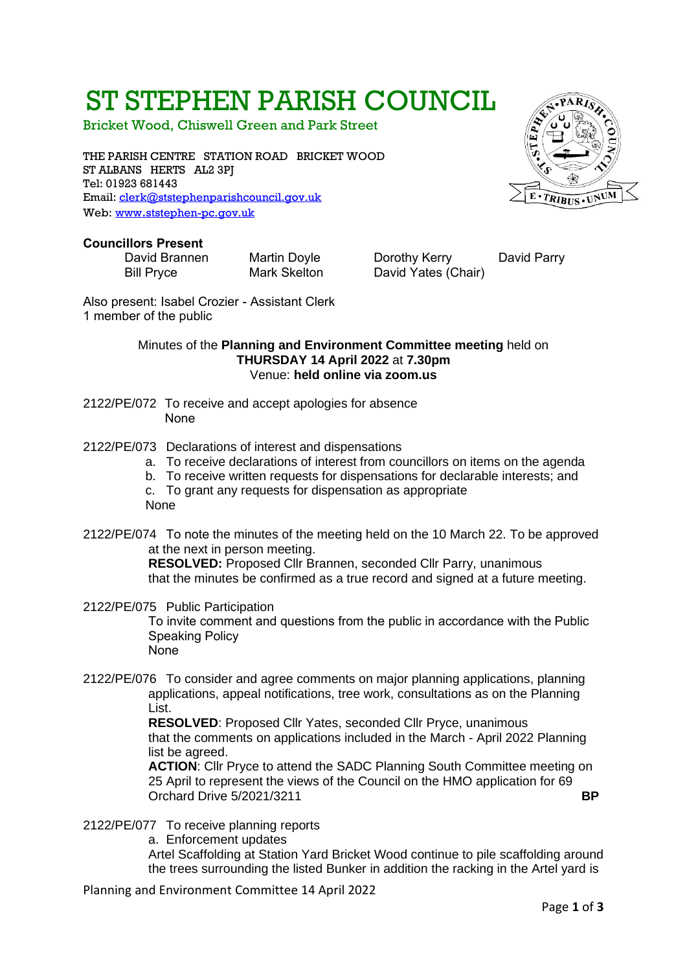# ST STEPHEN PARISH COUNCIL

Bricket Wood, Chiswell Green and Park Street

THE PARISH CENTRE STATION ROAD BRICKET WOOD ST ALBANS HERTS AL2 3PJ Tel: 01923 681443 Email: [clerk@ststephenparishcouncil.gov.uk](mailto:clerk@ststephenparishcouncil.gov.uk)  Web: www.[ststephen-pc.gov.uk](http://www.ststephen-pc.gov.uk/)

#### **Councillors Present**

David Brannen Martin Doyle Dorothy Kerry David Parry Bill Pryce Mark Skelton David Yates (Chair)

Also present: Isabel Crozier - Assistant Clerk 1 member of the public

#### Minutes of the **Planning and Environment Committee meeting** held on **THURSDAY 14 April 2022** at **7.30pm** Venue: **held online via zoom.us**

- 2122/PE/072 To receive and accept apologies for absence None
- 2122/PE/073 Declarations of interest and dispensations
	- a. To receive declarations of interest from councillors on items on the agenda
	- b. To receive written requests for dispensations for declarable interests; and
	- c. To grant any requests for dispensation as appropriate None
- 2122/PE/074 To note the minutes of the meeting held on the 10 March 22. To be approved at the next in person meeting.

**RESOLVED:** Proposed Cllr Brannen, seconded Cllr Parry, unanimous that the minutes be confirmed as a true record and signed at a future meeting.

- 2122/PE/075 Public Participation To invite comment and questions from the public in accordance with the Public Speaking Policy **None**
- 2122/PE/076 To consider and agree comments on major planning applications, planning applications, appeal notifications, tree work, consultations as on the Planning List.

**RESOLVED**: Proposed Cllr Yates, seconded Cllr Pryce, unanimous that the comments on applications included in the March - April 2022 Planning list be agreed.

**ACTION**: Cllr Pryce to attend the SADC Planning South Committee meeting on 25 April to represent the views of the Council on the HMO application for 69 Orchard Drive 5/2021/3211 **BP**

2122/PE/077 To receive planning reports

a. Enforcement updates

Artel Scaffolding at Station Yard Bricket Wood continue to pile scaffolding around the trees surrounding the listed Bunker in addition the racking in the Artel yard is

Planning and Environment Committee 14 April 2022

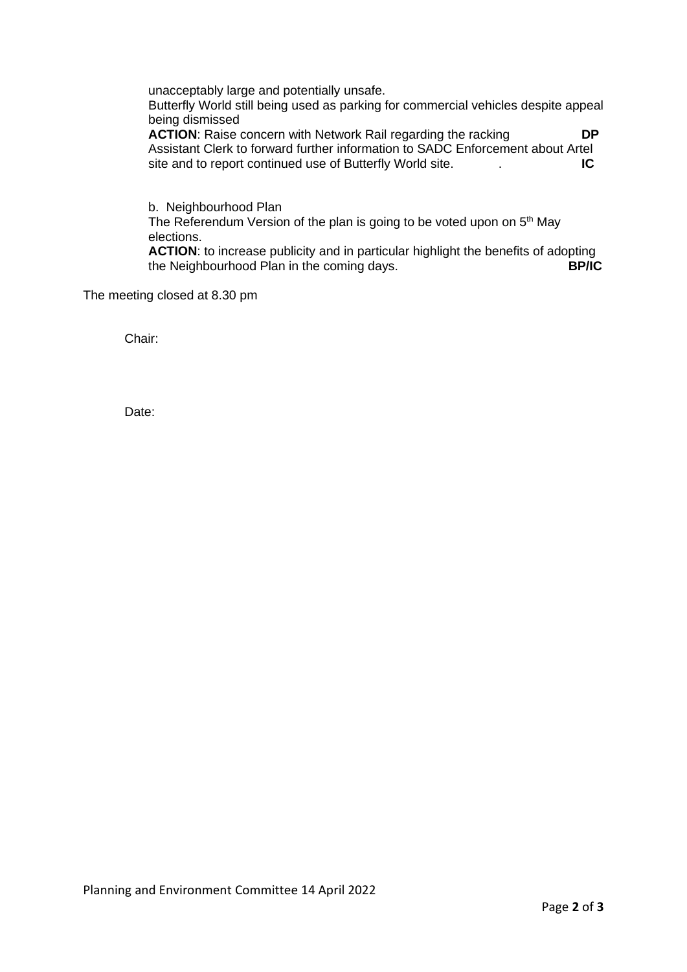unacceptably large and potentially unsafe.

Butterfly World still being used as parking for commercial vehicles despite appeal being dismissed

**ACTION:** Raise concern with Network Rail regarding the racking **DP** Assistant Clerk to forward further information to SADC Enforcement about Artel site and to report continued use of Butterfly World site. . **IC**

b. Neighbourhood Plan The Referendum Version of the plan is going to be voted upon on 5<sup>th</sup> May elections.

**ACTION**: to increase publicity and in particular highlight the benefits of adopting the Neighbourhood Plan in the coming days. **BP/IC**

The meeting closed at 8.30 pm

Chair:

Date: